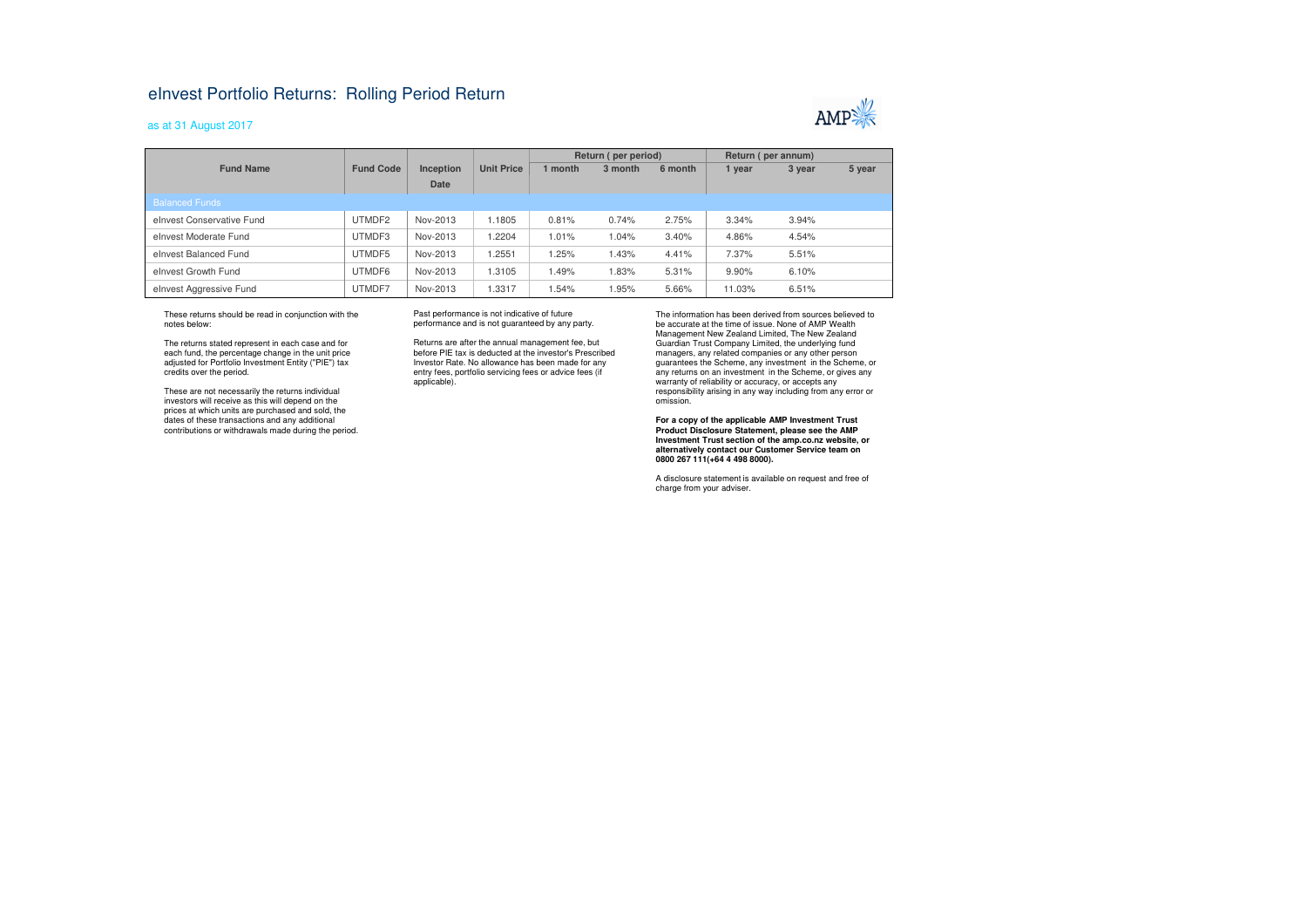## eInvest Portfolio Returns: Rolling Period Return

## as at 31 August 2017



|                           |                  |           |                   | Return (per period) |         |         | Return (per annum) |        |        |
|---------------------------|------------------|-----------|-------------------|---------------------|---------|---------|--------------------|--------|--------|
| <b>Fund Name</b>          | <b>Fund Code</b> | Inception | <b>Unit Price</b> | 1 month             | 3 month | 6 month | 1 year             | 3 year | 5 year |
|                           |                  | Date      |                   |                     |         |         |                    |        |        |
| <b>Balanced Funds</b>     |                  |           |                   |                     |         |         |                    |        |        |
| elnyest Conservative Fund | UTMDF2           | Nov-2013  | 1.1805            | 0.81%               | 0.74%   | 2.75%   | 3.34%              | 3.94%  |        |
| elnyest Moderate Fund     | UTMDF3           | Nov-2013  | 1.2204            | 1.01%               | 1.04%   | 3.40%   | 4.86%              | 4.54%  |        |
| elnyest Balanced Fund     | UTMDF5           | Nov-2013  | 1.2551            | 1.25%               | 1.43%   | 4.41%   | 7.37%              | 5.51%  |        |
| elnvest Growth Fund       | UTMDF6           | Nov-2013  | 1.3105            | 1.49%               | 1.83%   | 5.31%   | 9.90%              | 6.10%  |        |
| elnvest Aggressive Fund   | UTMDF7           | Nov-2013  | 1.3317            | 1.54%               | 1.95%   | 5.66%   | 11.03%             | 6.51%  |        |

These returns should be read in conjunction with the notes below:

The returns stated represent in each case and for each fund, the percentage change in the unit price adjusted for Portfolio Investment Entity ("PIE") tax credits over the period.

These are not necessarily the returns individual investors will receive as this will depend on the prices at which units are purchased and sold, the dates of these transactions and any additional contributions or withdrawals made during the period. Past performance is not indicative of future performance and is not guaranteed by any party.

Returns are after the annual management fee, but before PIE tax is deducted at the investor's Prescribed Investor Rate. No allowance has been made for any entry fees, portfolio servicing fees or advice fees (if applicable).

The information has been derived from sources believed to be accurate at the time of issue. None of AMP Wealth Management New Zealand Limited, The New Zealand Guardian Trust Company Limited, the underlying fund managers, any related companies or any other person guarantees the Scheme, any investment in the Scheme, or any returns on an investment in the Scheme, or gives any warranty of reliability or accuracy, or accepts any responsibility arising in any way including from any error or omission.

**For a copy of the applicable AMP Investment Trust Product Disclosure Statement, please see the AMP Investment Trust section of the amp.co.nz website, or alternatively contact our Customer Service team on 0800 267 111(+64 4 498 8000).**

A disclosure statement is available on request and free of charge from your adviser.